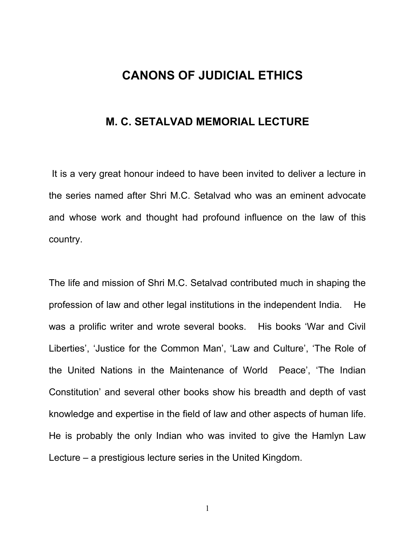## **CANONS OF JUDICIAL ETHICS**

### **M. C. SETALVAD MEMORIAL LECTURE**

It is a very great honour indeed to have been invited to deliver a lecture in the series named after Shri M.C. Setalvad who was an eminent advocate and whose work and thought had profound influence on the law of this country.

The life and mission of Shri M.C. Setalvad contributed much in shaping the profession of law and other legal institutions in the independent India. He was a prolific writer and wrote several books. His books 'War and Civil Liberties', 'Justice for the Common Man', 'Law and Culture', 'The Role of the United Nations in the Maintenance of World Peace', 'The Indian Constitution' and several other books show his breadth and depth of vast knowledge and expertise in the field of law and other aspects of human life. He is probably the only Indian who was invited to give the Hamlyn Law Lecture – a prestigious lecture series in the United Kingdom.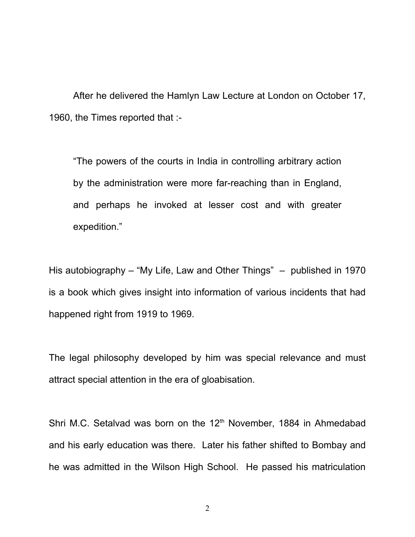After he delivered the Hamlyn Law Lecture at London on October 17, 1960, the Times reported that :-

"The powers of the courts in India in controlling arbitrary action by the administration were more far-reaching than in England, and perhaps he invoked at lesser cost and with greater expedition."

His autobiography – "My Life, Law and Other Things" – published in 1970 is a book which gives insight into information of various incidents that had happened right from 1919 to 1969.

The legal philosophy developed by him was special relevance and must attract special attention in the era of gloabisation.

Shri M.C. Setalvad was born on the 12<sup>th</sup> November, 1884 in Ahmedabad and his early education was there. Later his father shifted to Bombay and he was admitted in the Wilson High School. He passed his matriculation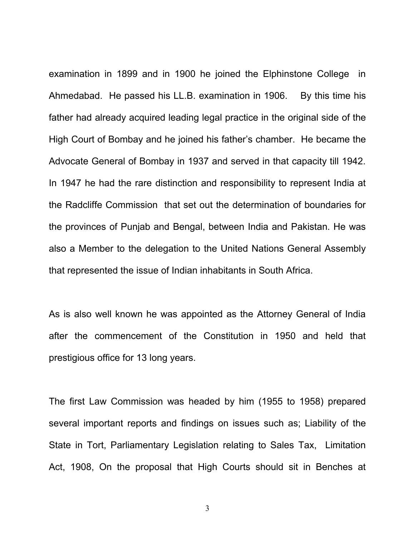examination in 1899 and in 1900 he joined the Elphinstone College in Ahmedabad. He passed his LL.B. examination in 1906. By this time his father had already acquired leading legal practice in the original side of the High Court of Bombay and he joined his father's chamber. He became the Advocate General of Bombay in 1937 and served in that capacity till 1942. In 1947 he had the rare distinction and responsibility to represent India at the Radcliffe Commission that set out the determination of boundaries for the provinces of Punjab and Bengal, between India and Pakistan. He was also a Member to the delegation to the United Nations General Assembly that represented the issue of Indian inhabitants in South Africa.

As is also well known he was appointed as the Attorney General of India after the commencement of the Constitution in 1950 and held that prestigious office for 13 long years.

The first Law Commission was headed by him (1955 to 1958) prepared several important reports and findings on issues such as; Liability of the State in Tort, Parliamentary Legislation relating to Sales Tax, Limitation Act, 1908, On the proposal that High Courts should sit in Benches at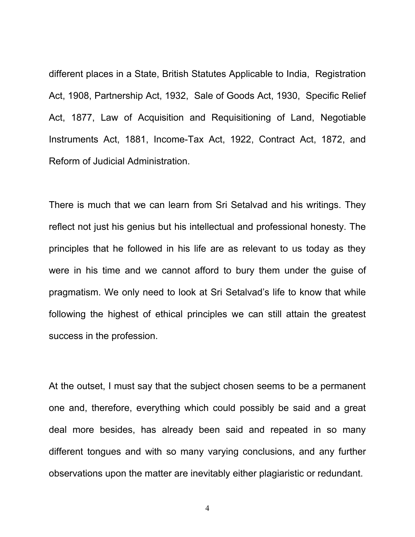different places in a State, British Statutes Applicable to India, Registration Act, 1908, Partnership Act, 1932, Sale of Goods Act, 1930, Specific Relief Act, 1877, Law of Acquisition and Requisitioning of Land, Negotiable Instruments Act, 1881, Income-Tax Act, 1922, Contract Act, 1872, and Reform of Judicial Administration.

There is much that we can learn from Sri Setalvad and his writings. They reflect not just his genius but his intellectual and professional honesty. The principles that he followed in his life are as relevant to us today as they were in his time and we cannot afford to bury them under the guise of pragmatism. We only need to look at Sri Setalvad's life to know that while following the highest of ethical principles we can still attain the greatest success in the profession.

At the outset, I must say that the subject chosen seems to be a permanent one and, therefore, everything which could possibly be said and a great deal more besides, has already been said and repeated in so many different tongues and with so many varying conclusions, and any further observations upon the matter are inevitably either plagiaristic or redundant.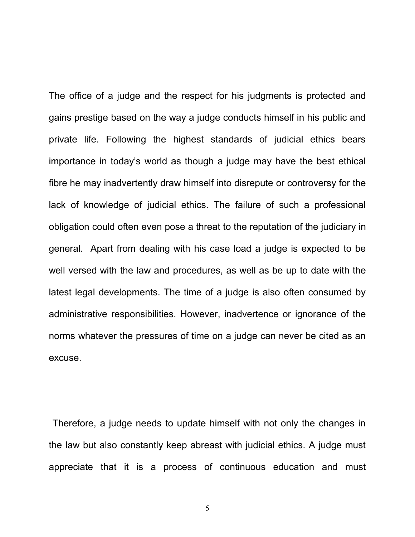The office of a judge and the respect for his judgments is protected and gains prestige based on the way a judge conducts himself in his public and private life. Following the highest standards of judicial ethics bears importance in today's world as though a judge may have the best ethical fibre he may inadvertently draw himself into disrepute or controversy for the lack of knowledge of judicial ethics. The failure of such a professional obligation could often even pose a threat to the reputation of the judiciary in general. Apart from dealing with his case load a judge is expected to be well versed with the law and procedures, as well as be up to date with the latest legal developments. The time of a judge is also often consumed by administrative responsibilities. However, inadvertence or ignorance of the norms whatever the pressures of time on a judge can never be cited as an excuse.

Therefore, a judge needs to update himself with not only the changes in the law but also constantly keep abreast with judicial ethics. A judge must appreciate that it is a process of continuous education and must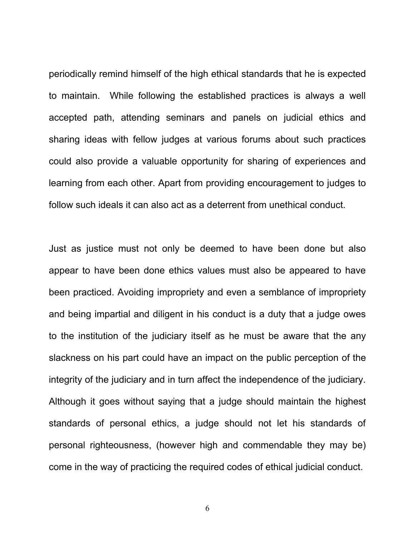periodically remind himself of the high ethical standards that he is expected to maintain. While following the established practices is always a well accepted path, attending seminars and panels on judicial ethics and sharing ideas with fellow judges at various forums about such practices could also provide a valuable opportunity for sharing of experiences and learning from each other. Apart from providing encouragement to judges to follow such ideals it can also act as a deterrent from unethical conduct.

Just as justice must not only be deemed to have been done but also appear to have been done ethics values must also be appeared to have been practiced. Avoiding impropriety and even a semblance of impropriety and being impartial and diligent in his conduct is a duty that a judge owes to the institution of the judiciary itself as he must be aware that the any slackness on his part could have an impact on the public perception of the integrity of the judiciary and in turn affect the independence of the judiciary. Although it goes without saying that a judge should maintain the highest standards of personal ethics, a judge should not let his standards of personal righteousness, (however high and commendable they may be) come in the way of practicing the required codes of ethical judicial conduct.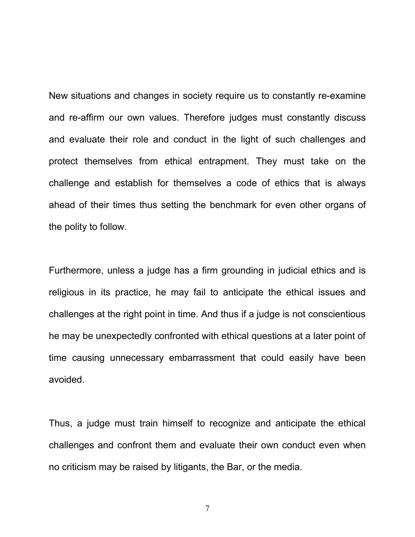New situations and changes in society require us to constantly re-examine and re-affirm our own values. Therefore judges must constantly discuss and evaluate their role and conduct in the light of such challenges and protect themselves from ethical entrapment. They must take on the challenge and establish for themselves a code of ethics that is always ahead of their times thus setting the benchmark for even other organs of the polity to follow.

Furthermore, unless a judge has a firm grounding in judicial ethics and is religious in its practice, he may fail to anticipate the ethical issues and challenges at the right point in time. And thus if a judge is not conscientious he may be unexpectedly confronted with ethical questions at a later point of time causing unnecessary embarrassment that could easily have been avoided.

Thus, a judge must train himself to recognize and anticipate the ethical challenges and confront them and evaluate their own conduct even when no criticism may be raised by litigants, the Bar, or the media.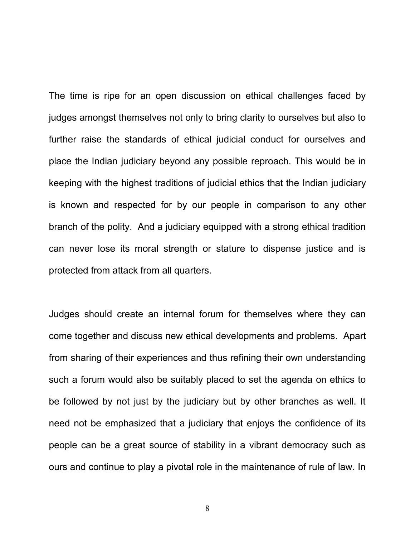The time is ripe for an open discussion on ethical challenges faced by judges amongst themselves not only to bring clarity to ourselves but also to further raise the standards of ethical judicial conduct for ourselves and place the Indian judiciary beyond any possible reproach. This would be in keeping with the highest traditions of judicial ethics that the Indian judiciary is known and respected for by our people in comparison to any other branch of the polity. And a judiciary equipped with a strong ethical tradition can never lose its moral strength or stature to dispense justice and is protected from attack from all quarters.

Judges should create an internal forum for themselves where they can come together and discuss new ethical developments and problems. Apart from sharing of their experiences and thus refining their own understanding such a forum would also be suitably placed to set the agenda on ethics to be followed by not just by the judiciary but by other branches as well. It need not be emphasized that a judiciary that enjoys the confidence of its people can be a great source of stability in a vibrant democracy such as ours and continue to play a pivotal role in the maintenance of rule of law. In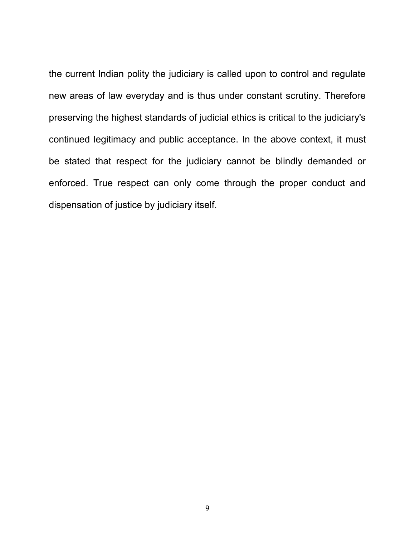the current Indian polity the judiciary is called upon to control and regulate new areas of law everyday and is thus under constant scrutiny. Therefore preserving the highest standards of judicial ethics is critical to the judiciary's continued legitimacy and public acceptance. In the above context, it must be stated that respect for the judiciary cannot be blindly demanded or enforced. True respect can only come through the proper conduct and dispensation of justice by judiciary itself.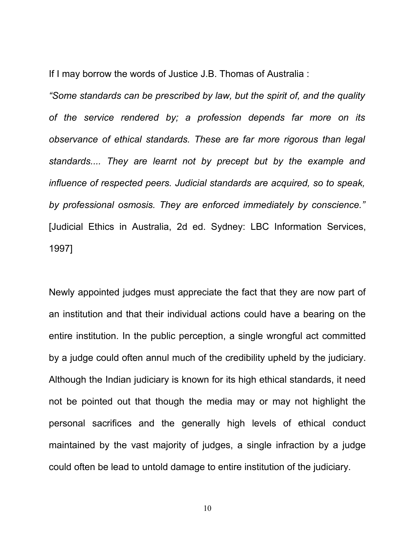If I may borrow the words of Justice J.B. Thomas of Australia :

*"Some standards can be prescribed by law, but the spirit of, and the quality of the service rendered by; a profession depends far more on its observance of ethical standards. These are far more rigorous than legal standards.... They are learnt not by precept but by the example and influence of respected peers. Judicial standards are acquired, so to speak, by professional osmosis. They are enforced immediately by conscience."* [Judicial Ethics in Australia, 2d ed. Sydney: LBC Information Services, 1997]

Newly appointed judges must appreciate the fact that they are now part of an institution and that their individual actions could have a bearing on the entire institution. In the public perception, a single wrongful act committed by a judge could often annul much of the credibility upheld by the judiciary. Although the Indian judiciary is known for its high ethical standards, it need not be pointed out that though the media may or may not highlight the personal sacrifices and the generally high levels of ethical conduct maintained by the vast majority of judges, a single infraction by a judge could often be lead to untold damage to entire institution of the judiciary.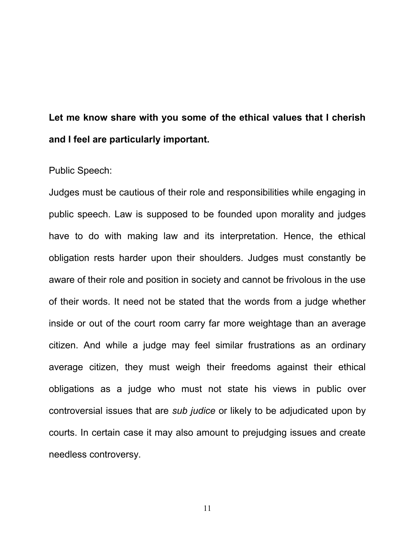# **Let me know share with you some of the ethical values that I cherish and I feel are particularly important.**

#### Public Speech:

Judges must be cautious of their role and responsibilities while engaging in public speech. Law is supposed to be founded upon morality and judges have to do with making law and its interpretation. Hence, the ethical obligation rests harder upon their shoulders. Judges must constantly be aware of their role and position in society and cannot be frivolous in the use of their words. It need not be stated that the words from a judge whether inside or out of the court room carry far more weightage than an average citizen. And while a judge may feel similar frustrations as an ordinary average citizen, they must weigh their freedoms against their ethical obligations as a judge who must not state his views in public over controversial issues that are *sub judice* or likely to be adjudicated upon by courts. In certain case it may also amount to prejudging issues and create needless controversy.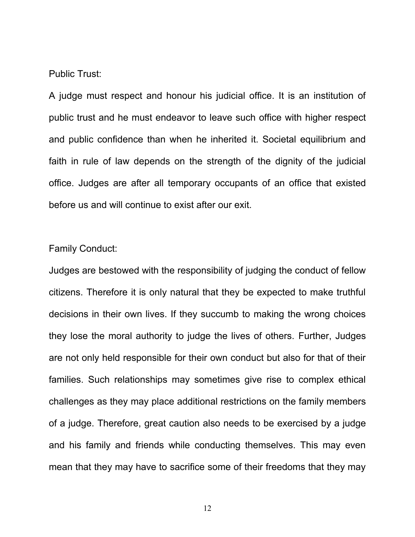#### Public Trust:

A judge must respect and honour his judicial office. It is an institution of public trust and he must endeavor to leave such office with higher respect and public confidence than when he inherited it. Societal equilibrium and faith in rule of law depends on the strength of the dignity of the judicial office. Judges are after all temporary occupants of an office that existed before us and will continue to exist after our exit.

#### Family Conduct:

Judges are bestowed with the responsibility of judging the conduct of fellow citizens. Therefore it is only natural that they be expected to make truthful decisions in their own lives. If they succumb to making the wrong choices they lose the moral authority to judge the lives of others. Further, Judges are not only held responsible for their own conduct but also for that of their families. Such relationships may sometimes give rise to complex ethical challenges as they may place additional restrictions on the family members of a judge. Therefore, great caution also needs to be exercised by a judge and his family and friends while conducting themselves. This may even mean that they may have to sacrifice some of their freedoms that they may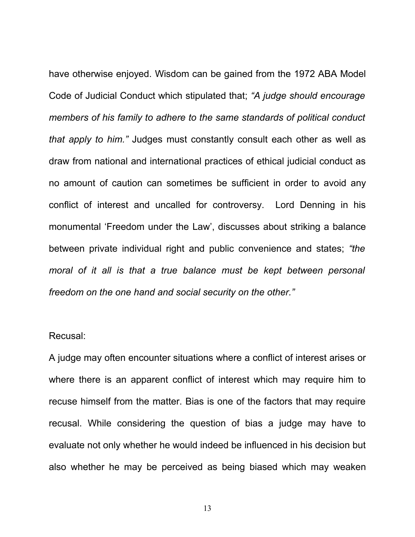have otherwise enjoyed. Wisdom can be gained from the 1972 ABA Model Code of Judicial Conduct which stipulated that; *"A judge should encourage members of his family to adhere to the same standards of political conduct that apply to him."* Judges must constantly consult each other as well as draw from national and international practices of ethical judicial conduct as no amount of caution can sometimes be sufficient in order to avoid any conflict of interest and uncalled for controversy. Lord Denning in his monumental 'Freedom under the Law', discusses about striking a balance between private individual right and public convenience and states; *"the moral of it all is that a true balance must be kept between personal freedom on the one hand and social security on the other."*

#### Recusal:

A judge may often encounter situations where a conflict of interest arises or where there is an apparent conflict of interest which may require him to recuse himself from the matter. Bias is one of the factors that may require recusal. While considering the question of bias a judge may have to evaluate not only whether he would indeed be influenced in his decision but also whether he may be perceived as being biased which may weaken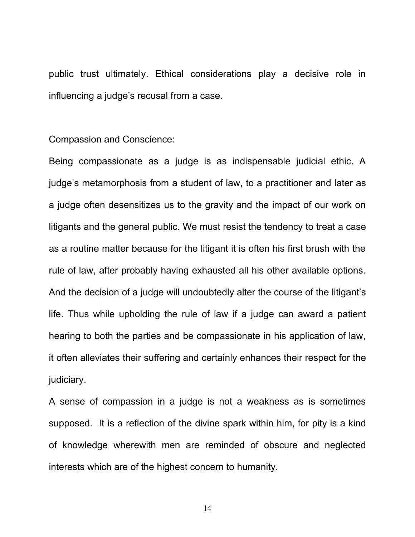public trust ultimately. Ethical considerations play a decisive role in influencing a judge's recusal from a case.

Compassion and Conscience:

Being compassionate as a judge is as indispensable judicial ethic. A judge's metamorphosis from a student of law, to a practitioner and later as a judge often desensitizes us to the gravity and the impact of our work on litigants and the general public. We must resist the tendency to treat a case as a routine matter because for the litigant it is often his first brush with the rule of law, after probably having exhausted all his other available options. And the decision of a judge will undoubtedly alter the course of the litigant's life. Thus while upholding the rule of law if a judge can award a patient hearing to both the parties and be compassionate in his application of law, it often alleviates their suffering and certainly enhances their respect for the judiciary.

A sense of compassion in a judge is not a weakness as is sometimes supposed. It is a reflection of the divine spark within him, for pity is a kind of knowledge wherewith men are reminded of obscure and neglected interests which are of the highest concern to humanity.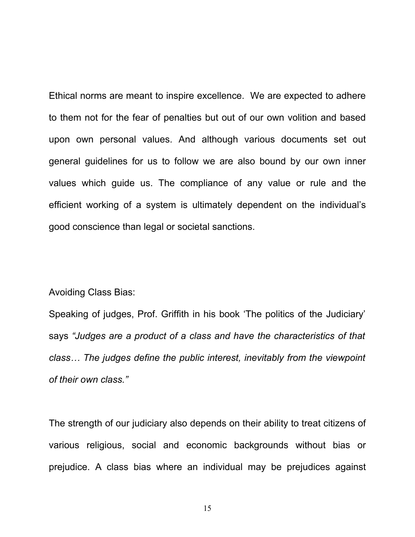Ethical norms are meant to inspire excellence. We are expected to adhere to them not for the fear of penalties but out of our own volition and based upon own personal values. And although various documents set out general guidelines for us to follow we are also bound by our own inner values which guide us. The compliance of any value or rule and the efficient working of a system is ultimately dependent on the individual's good conscience than legal or societal sanctions.

#### Avoiding Class Bias:

Speaking of judges, Prof. Griffith in his book 'The politics of the Judiciary' says *"Judges are a product of a class and have the characteristics of that class… The judges define the public interest, inevitably from the viewpoint of their own class."*

The strength of our judiciary also depends on their ability to treat citizens of various religious, social and economic backgrounds without bias or prejudice. A class bias where an individual may be prejudices against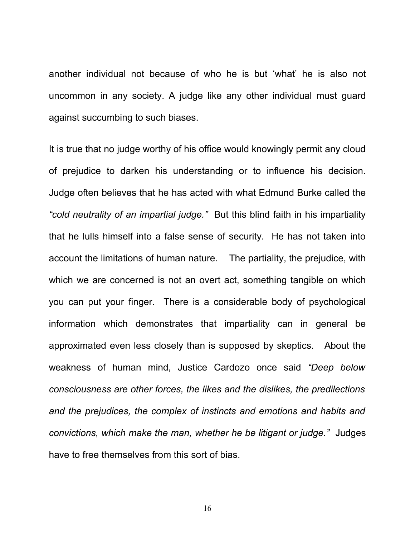another individual not because of who he is but 'what' he is also not uncommon in any society. A judge like any other individual must guard against succumbing to such biases.

It is true that no judge worthy of his office would knowingly permit any cloud of prejudice to darken his understanding or to influence his decision. Judge often believes that he has acted with what Edmund Burke called the *"cold neutrality of an impartial judge."* But this blind faith in his impartiality that he lulls himself into a false sense of security. He has not taken into account the limitations of human nature. The partiality, the prejudice, with which we are concerned is not an overt act, something tangible on which you can put your finger. There is a considerable body of psychological information which demonstrates that impartiality can in general be approximated even less closely than is supposed by skeptics. About the weakness of human mind, Justice Cardozo once said *"Deep below consciousness are other forces, the likes and the dislikes, the predilections and the prejudices, the complex of instincts and emotions and habits and convictions, which make the man, whether he be litigant or judge."* Judges have to free themselves from this sort of bias.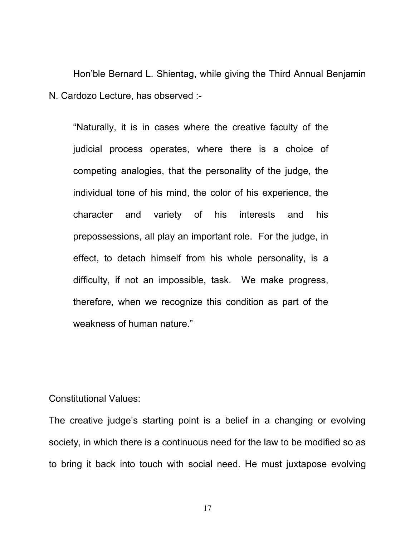Hon'ble Bernard L. Shientag, while giving the Third Annual Benjamin N. Cardozo Lecture, has observed :-

"Naturally, it is in cases where the creative faculty of the judicial process operates, where there is a choice of competing analogies, that the personality of the judge, the individual tone of his mind, the color of his experience, the character and variety of his interests and his prepossessions, all play an important role. For the judge, in effect, to detach himself from his whole personality, is a difficulty, if not an impossible, task. We make progress, therefore, when we recognize this condition as part of the weakness of human nature."

#### Constitutional Values:

The creative judge's starting point is a belief in a changing or evolving society, in which there is a continuous need for the law to be modified so as to bring it back into touch with social need. He must juxtapose evolving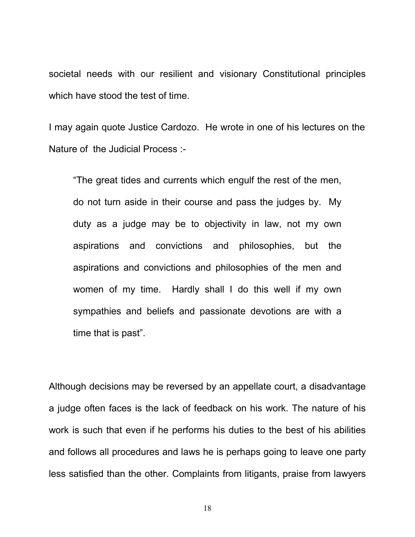societal needs with our resilient and visionary Constitutional principles which have stood the test of time.

I may again quote Justice Cardozo. He wrote in one of his lectures on the Nature of the Judicial Process :-

"The great tides and currents which engulf the rest of the men, do not turn aside in their course and pass the judges by. My duty as a judge may be to objectivity in law, not my own aspirations and convictions and philosophies, but the aspirations and convictions and philosophies of the men and women of my time. Hardly shall I do this well if my own sympathies and beliefs and passionate devotions are with a time that is past".

Although decisions may be reversed by an appellate court, a disadvantage a judge often faces is the lack of feedback on his work. The nature of his work is such that even if he performs his duties to the best of his abilities and follows all procedures and laws he is perhaps going to leave one party less satisfied than the other. Complaints from litigants, praise from lawyers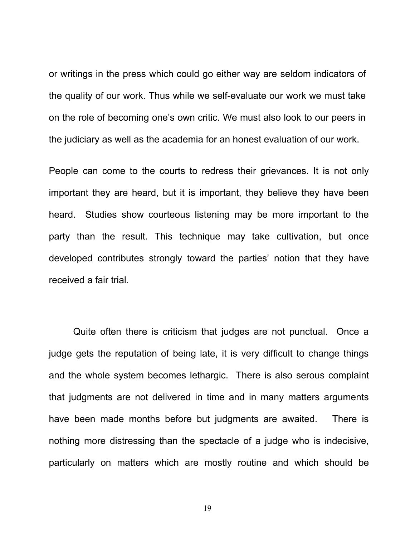or writings in the press which could go either way are seldom indicators of the quality of our work. Thus while we self-evaluate our work we must take on the role of becoming one's own critic. We must also look to our peers in the judiciary as well as the academia for an honest evaluation of our work.

People can come to the courts to redress their grievances. It is not only important they are heard, but it is important, they believe they have been heard. Studies show courteous listening may be more important to the party than the result. This technique may take cultivation, but once developed contributes strongly toward the parties' notion that they have received a fair trial.

Quite often there is criticism that judges are not punctual. Once a judge gets the reputation of being late, it is very difficult to change things and the whole system becomes lethargic. There is also serous complaint that judgments are not delivered in time and in many matters arguments have been made months before but judgments are awaited. There is nothing more distressing than the spectacle of a judge who is indecisive, particularly on matters which are mostly routine and which should be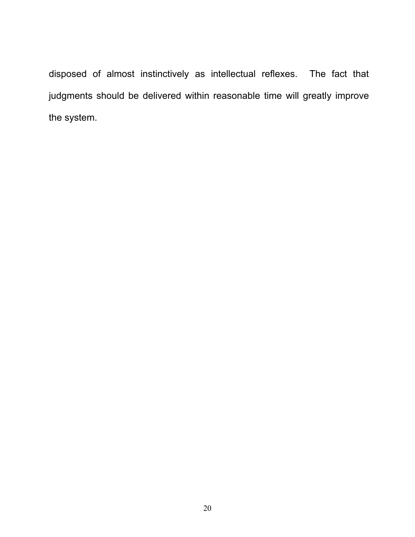disposed of almost instinctively as intellectual reflexes. The fact that judgments should be delivered within reasonable time will greatly improve the system.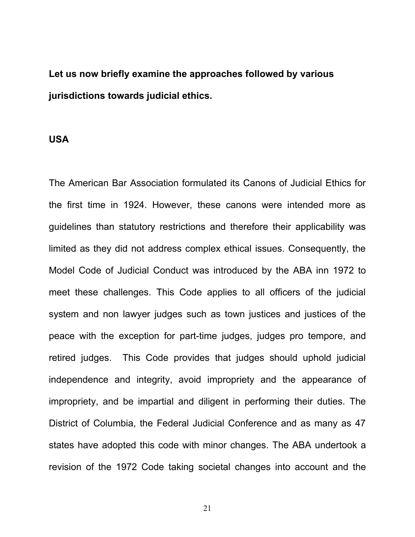**Let us now briefly examine the approaches followed by various jurisdictions towards judicial ethics.** 

#### **USA**

The American Bar Association formulated its Canons of Judicial Ethics for the first time in 1924. However, these canons were intended more as guidelines than statutory restrictions and therefore their applicability was limited as they did not address complex ethical issues. Consequently, the Model Code of Judicial Conduct was introduced by the ABA inn 1972 to meet these challenges. This Code applies to all officers of the judicial system and non lawyer judges such as town justices and justices of the peace with the exception for part-time judges, judges pro tempore, and retired judges. This Code provides that judges should uphold judicial independence and integrity, avoid impropriety and the appearance of impropriety, and be impartial and diligent in performing their duties. The District of Columbia, the Federal Judicial Conference and as many as 47 states have adopted this code with minor changes. The ABA undertook a revision of the 1972 Code taking societal changes into account and the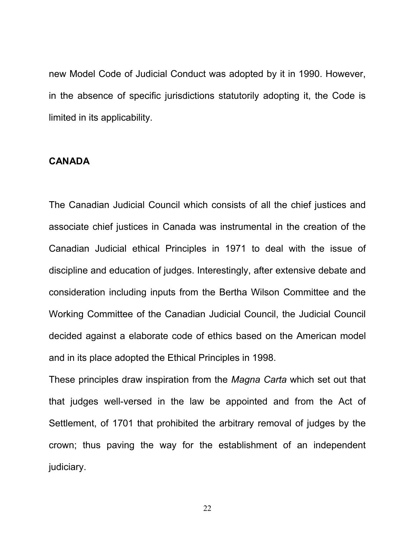new Model Code of Judicial Conduct was adopted by it in 1990. However, in the absence of specific jurisdictions statutorily adopting it, the Code is limited in its applicability.

#### **CANADA**

The Canadian Judicial Council which consists of all the chief justices and associate chief justices in Canada was instrumental in the creation of the Canadian Judicial ethical Principles in 1971 to deal with the issue of discipline and education of judges. Interestingly, after extensive debate and consideration including inputs from the Bertha Wilson Committee and the Working Committee of the Canadian Judicial Council, the Judicial Council decided against a elaborate code of ethics based on the American model and in its place adopted the Ethical Principles in 1998.

These principles draw inspiration from the *Magna Carta* which set out that that judges well-versed in the law be appointed and from the Act of Settlement, of 1701 that prohibited the arbitrary removal of judges by the crown; thus paving the way for the establishment of an independent judiciary.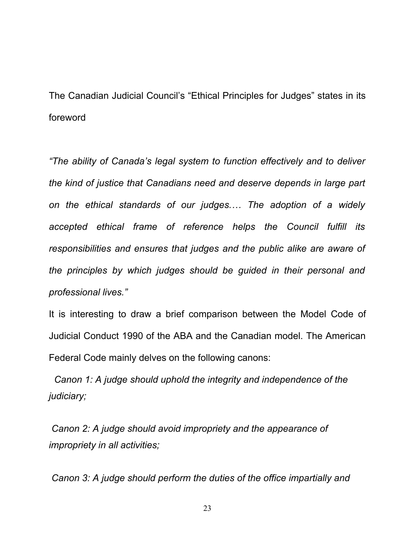The Canadian Judicial Council's "Ethical Principles for Judges" states in its foreword

*"The ability of Canada's legal system to function effectively and to deliver the kind of justice that Canadians need and deserve depends in large part on the ethical standards of our judges.… The adoption of a widely accepted ethical frame of reference helps the Council fulfill its responsibilities and ensures that judges and the public alike are aware of the principles by which judges should be guided in their personal and professional lives."*

It is interesting to draw a brief comparison between the Model Code of Judicial Conduct 1990 of the ABA and the Canadian model. The American Federal Code mainly delves on the following canons:

*Canon 1: A judge should uphold the integrity and independence of the judiciary;* 

*Canon 2: A judge should avoid impropriety and the appearance of impropriety in all activities;* 

*Canon 3: A judge should perform the duties of the office impartially and*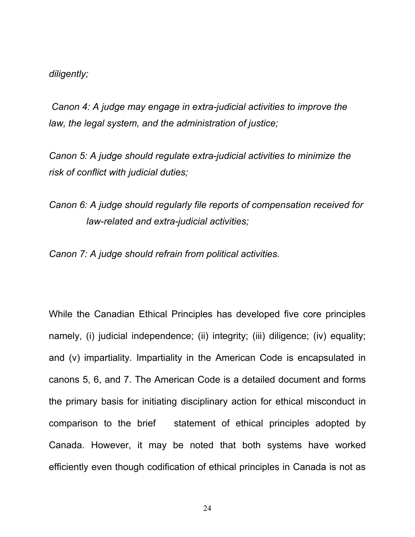#### *diligently;*

*Canon 4: A judge may engage in extra-judicial activities to improve the law, the legal system, and the administration of justice;* 

*Canon 5: A judge should regulate extra-judicial activities to minimize the risk of conflict with judicial duties;* 

# *Canon 6: A judge should regularly file reports of compensation received for law-related and extra-judicial activities;*

*Canon 7: A judge should refrain from political activities.* 

While the Canadian Ethical Principles has developed five core principles namely, (i) judicial independence; (ii) integrity; (iii) diligence; (iv) equality; and (v) impartiality. Impartiality in the American Code is encapsulated in canons 5, 6, and 7. The American Code is a detailed document and forms the primary basis for initiating disciplinary action for ethical misconduct in comparison to the brief statement of ethical principles adopted by Canada. However, it may be noted that both systems have worked efficiently even though codification of ethical principles in Canada is not as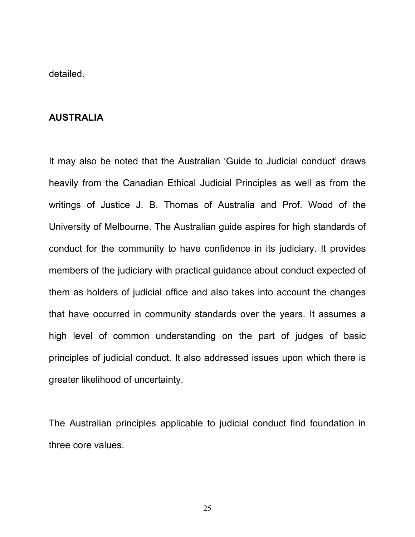detailed.

#### **AUSTRALIA**

It may also be noted that the Australian 'Guide to Judicial conduct' draws heavily from the Canadian Ethical Judicial Principles as well as from the writings of Justice J. B. Thomas of Australia and Prof. Wood of the University of Melbourne. The Australian guide aspires for high standards of conduct for the community to have confidence in its judiciary. It provides members of the judiciary with practical guidance about conduct expected of them as holders of judicial office and also takes into account the changes that have occurred in community standards over the years. It assumes a high level of common understanding on the part of judges of basic principles of judicial conduct. It also addressed issues upon which there is greater likelihood of uncertainty.

The Australian principles applicable to judicial conduct find foundation in three core values.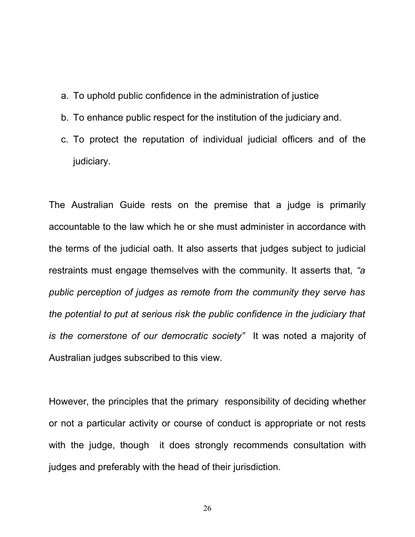- a. To uphold public confidence in the administration of justice
- b. To enhance public respect for the institution of the judiciary and.
- c. To protect the reputation of individual judicial officers and of the judiciary.

The Australian Guide rests on the premise that a judge is primarily accountable to the law which he or she must administer in accordance with the terms of the judicial oath. It also asserts that judges subject to judicial restraints must engage themselves with the community. It asserts that, *"a public perception of judges as remote from the community they serve has the potential to put at serious risk the public confidence in the judiciary that is the cornerstone of our democratic society"* It was noted a majority of Australian judges subscribed to this view.

However, the principles that the primary responsibility of deciding whether or not a particular activity or course of conduct is appropriate or not rests with the judge, though it does strongly recommends consultation with judges and preferably with the head of their jurisdiction.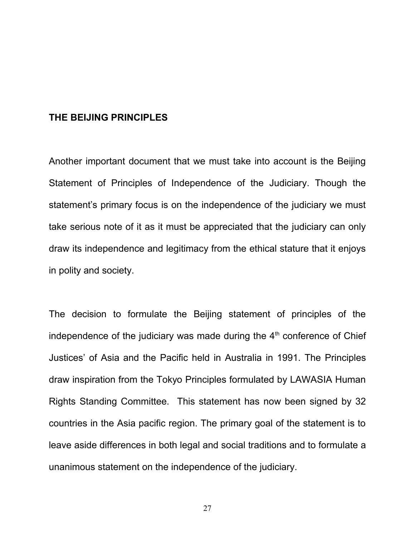#### **THE BEIJING PRINCIPLES**

Another important document that we must take into account is the Beijing Statement of Principles of Independence of the Judiciary. Though the statement's primary focus is on the independence of the judiciary we must take serious note of it as it must be appreciated that the judiciary can only draw its independence and legitimacy from the ethical stature that it enjoys in polity and society.

The decision to formulate the Beijing statement of principles of the independence of the judiciary was made during the 4<sup>th</sup> conference of Chief Justices' of Asia and the Pacific held in Australia in 1991. The Principles draw inspiration from the Tokyo Principles formulated by LAWASIA Human Rights Standing Committee. This statement has now been signed by 32 countries in the Asia pacific region. The primary goal of the statement is to leave aside differences in both legal and social traditions and to formulate a unanimous statement on the independence of the judiciary.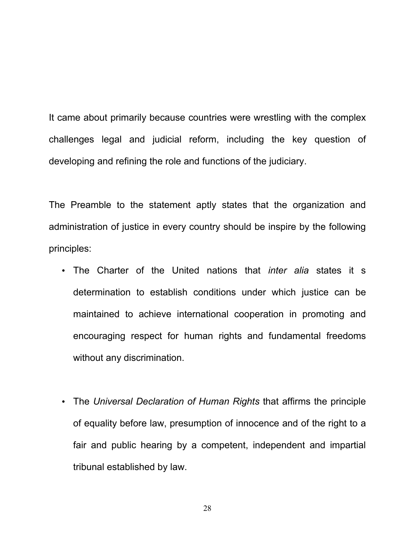It came about primarily because countries were wrestling with the complex challenges legal and judicial reform, including the key question of developing and refining the role and functions of the judiciary.

The Preamble to the statement aptly states that the organization and administration of justice in every country should be inspire by the following principles:

- The Charter of the United nations that *inter alia* states it s determination to establish conditions under which justice can be maintained to achieve international cooperation in promoting and encouraging respect for human rights and fundamental freedoms without any discrimination.
- The *Universal Declaration of Human Rights* that affirms the principle of equality before law, presumption of innocence and of the right to a fair and public hearing by a competent, independent and impartial tribunal established by law.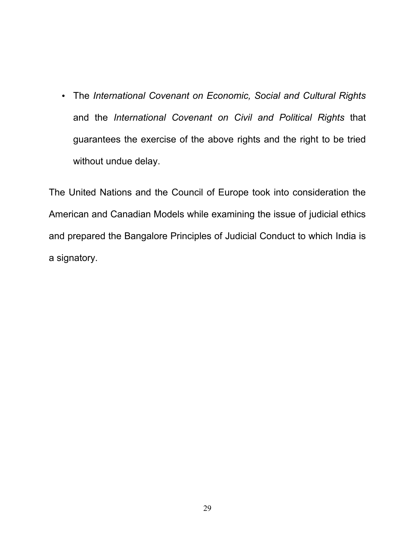• The *International Covenant on Economic, Social and Cultural Rights* and the *International Covenant on Civil and Political Rights* that guarantees the exercise of the above rights and the right to be tried without undue delay.

The United Nations and the Council of Europe took into consideration the American and Canadian Models while examining the issue of judicial ethics and prepared the Bangalore Principles of Judicial Conduct to which India is a signatory.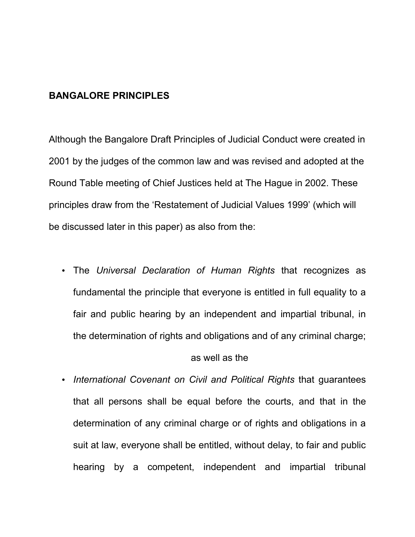#### **BANGALORE PRINCIPLES**

Although the Bangalore Draft Principles of Judicial Conduct were created in 2001 by the judges of the common law and was revised and adopted at the Round Table meeting of Chief Justices held at The Hague in 2002. These principles draw from the 'Restatement of Judicial Values 1999' (which will be discussed later in this paper) as also from the:

• The *Universal Declaration of Human Rights* that recognizes as fundamental the principle that everyone is entitled in full equality to a fair and public hearing by an independent and impartial tribunal, in the determination of rights and obligations and of any criminal charge;

#### as well as the

• *International Covenant on Civil and Political Rights* that guarantees that all persons shall be equal before the courts, and that in the determination of any criminal charge or of rights and obligations in a suit at law, everyone shall be entitled, without delay, to fair and public hearing by a competent, independent and impartial tribunal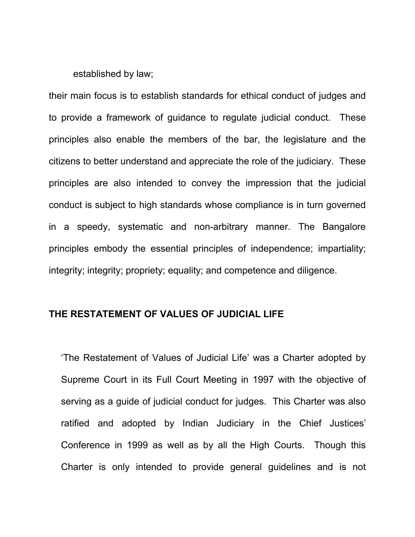#### established by law;

their main focus is to establish standards for ethical conduct of judges and to provide a framework of guidance to regulate judicial conduct. These principles also enable the members of the bar, the legislature and the citizens to better understand and appreciate the role of the judiciary. These principles are also intended to convey the impression that the judicial conduct is subject to high standards whose compliance is in turn governed in a speedy, systematic and non-arbitrary manner. The Bangalore principles embody the essential principles of independence; impartiality; integrity; integrity; propriety; equality; and competence and diligence.

#### **THE RESTATEMENT OF VALUES OF JUDICIAL LIFE**

'The Restatement of Values of Judicial Life' was a Charter adopted by Supreme Court in its Full Court Meeting in 1997 with the objective of serving as a guide of judicial conduct for judges. This Charter was also ratified and adopted by Indian Judiciary in the Chief Justices' Conference in 1999 as well as by all the High Courts. Though this Charter is only intended to provide general guidelines and is not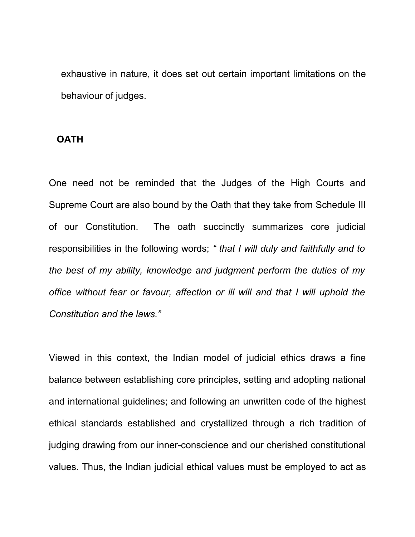exhaustive in nature, it does set out certain important limitations on the behaviour of judges.

#### **OATH**

One need not be reminded that the Judges of the High Courts and Supreme Court are also bound by the Oath that they take from Schedule III of our Constitution. The oath succinctly summarizes core judicial responsibilities in the following words; *" that I will duly and faithfully and to the best of my ability, knowledge and judgment perform the duties of my office without fear or favour, affection or ill will and that I will uphold the Constitution and the laws."*

Viewed in this context, the Indian model of judicial ethics draws a fine balance between establishing core principles, setting and adopting national and international guidelines; and following an unwritten code of the highest ethical standards established and crystallized through a rich tradition of judging drawing from our inner-conscience and our cherished constitutional values. Thus, the Indian judicial ethical values must be employed to act as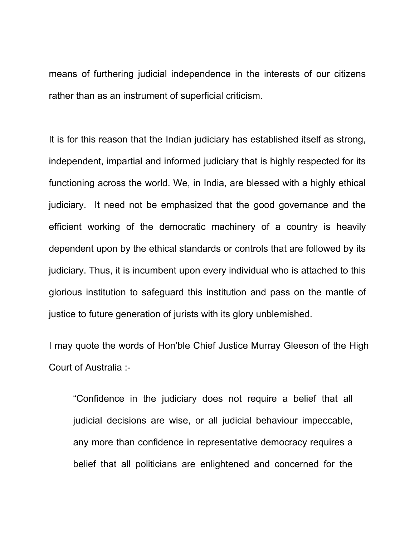means of furthering judicial independence in the interests of our citizens rather than as an instrument of superficial criticism.

It is for this reason that the Indian judiciary has established itself as strong, independent, impartial and informed judiciary that is highly respected for its functioning across the world. We, in India, are blessed with a highly ethical judiciary. It need not be emphasized that the good governance and the efficient working of the democratic machinery of a country is heavily dependent upon by the ethical standards or controls that are followed by its judiciary. Thus, it is incumbent upon every individual who is attached to this glorious institution to safeguard this institution and pass on the mantle of justice to future generation of jurists with its glory unblemished.

I may quote the words of Hon'ble Chief Justice Murray Gleeson of the High Court of Australia :-

"Confidence in the judiciary does not require a belief that all judicial decisions are wise, or all judicial behaviour impeccable, any more than confidence in representative democracy requires a belief that all politicians are enlightened and concerned for the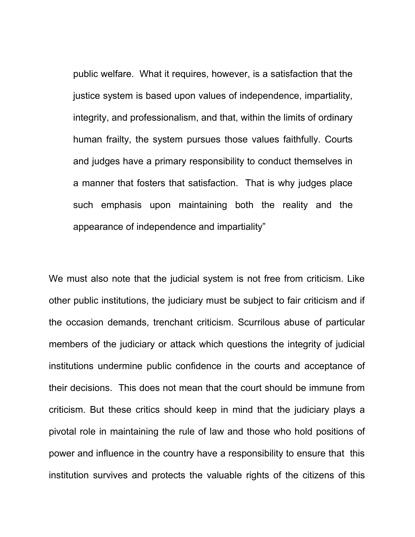public welfare. What it requires, however, is a satisfaction that the justice system is based upon values of independence, impartiality, integrity, and professionalism, and that, within the limits of ordinary human frailty, the system pursues those values faithfully. Courts and judges have a primary responsibility to conduct themselves in a manner that fosters that satisfaction. That is why judges place such emphasis upon maintaining both the reality and the appearance of independence and impartiality"

We must also note that the judicial system is not free from criticism. Like other public institutions, the judiciary must be subject to fair criticism and if the occasion demands, trenchant criticism. Scurrilous abuse of particular members of the judiciary or attack which questions the integrity of judicial institutions undermine public confidence in the courts and acceptance of their decisions. This does not mean that the court should be immune from criticism. But these critics should keep in mind that the judiciary plays a pivotal role in maintaining the rule of law and those who hold positions of power and influence in the country have a responsibility to ensure that this institution survives and protects the valuable rights of the citizens of this